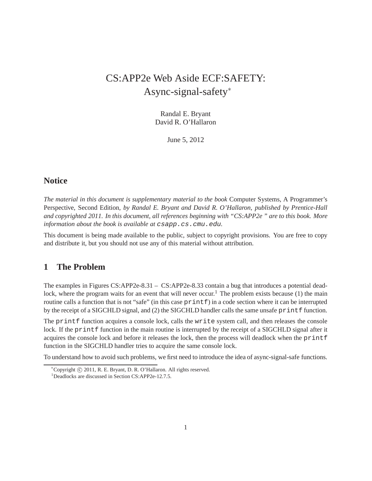# CS:APP2e Web Aside ECF:SAFETY: Async-signal-safety<sup>∗</sup>

Randal E. Bryant David R. O'Hallaron

June 5, 2012

## **Notice**

*The material in this document is supplementary material to the book* Computer Systems, A Programmer's Perspective, Second Edition*, by Randal E. Bryant and David R. O'Hallaron, published by Prentice-Hall and copyrighted 2011. In this document, all references beginning with "CS:APP2e " are to this book. More information about the book is available at*  $csapp.cs$ .cmu.edu.

This document is being made available to the public, subject to copyright provisions. You are free to copy and distribute it, but you should not use any of this material without attribution.

#### **1 The Problem**

The examples in Figures CS:APP2e-8.31 – CS:APP2e-8.33 contain a bug that introduces a potential deadlock, where the program waits for an event that will never occur.<sup>1</sup> The problem exists because (1) the main routine calls a function that is not "safe" (in this case  $\text{print}$ ) in a code section where it can be interrupted by the receipt of a SIGCHLD signal, and (2) the SIGCHLD handler calls the same unsafe printf function.

The printf function acquires a console lock, calls the write system call, and then releases the console lock. If the printf function in the main routine is interrupted by the receipt of a SIGCHLD signal after it acquires the console lock and before it releases the lock, then the process will deadlock when the printf function in the SIGCHLD handler tries to acquire the same console lock.

To understand how to avoid such problems, we first need to introduce the idea of async-signal-safe functions.

<sup>∗</sup>Copyright c 2011, R. E. Bryant, D. R. O'Hallaron. All rights reserved. <sup>1</sup>Deadlocks are discussed in Section CS:APP2e-12.7.5.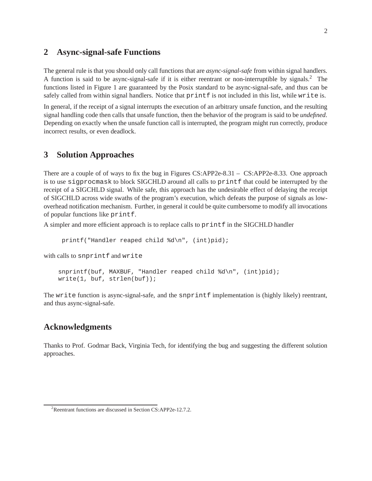## **2 Async-signal-safe Functions**

The general rule is that you should only call functions that are *async-signal-safe* from within signal handlers. A function is said to be async-signal-safe if it is either reentrant or non-interruptible by signals.<sup>2</sup> The functions listed in Figure 1 are guaranteed by the Posix standard to be async-signal-safe, and thus can be safely called from within signal handlers. Notice that  $print$  is not included in this list, while write is.

In general, if the receipt of a signal interrupts the execution of an arbitrary unsafe function, and the resulting signal handling code then calls that unsafe function, then the behavior of the program is said to be *undefined*. Depending on exactly when the unsafe function call is interrupted, the program might run correctly, produce incorrect results, or even deadlock.

### **3 Solution Approaches**

There are a couple of of ways to fix the bug in Figures CS:APP2e-8.31 – CS:APP2e-8.33. One approach is to use sigprocmask to block SIGCHLD around all calls to printf that could be interrupted by the receipt of a SIGCHLD signal. While safe, this approach has the undesirable effect of delaying the receipt of SIGCHLD across wide swaths of the program's execution, which defeats the purpose of signals as lowoverhead notification mechanism. Further, in general it could be quite cumbersome to modify all invocations of popular functions like printf.

A simpler and more efficient approach is to replace calls to  $\text{print}$  f in the SIGCHLD handler

```
printf("Handler reaped child %d\n", (int)pid);
```
with calls to snprintf and write

```
snprintf(buf, MAXBUF, "Handler reaped child d\<sup>"</sup>, (int)pid);
write(1, buf, strlen(buf));
```
The write function is async-signal-safe, and the snprintf implementation is (highly likely) reentrant, and thus async-signal-safe.

#### **Acknowledgments**

Thanks to Prof. Godmar Back, Virginia Tech, for identifying the bug and suggesting the different solution approaches.

<sup>&</sup>lt;sup>2</sup>Reentrant functions are discussed in Section CS:APP2e-12.7.2.